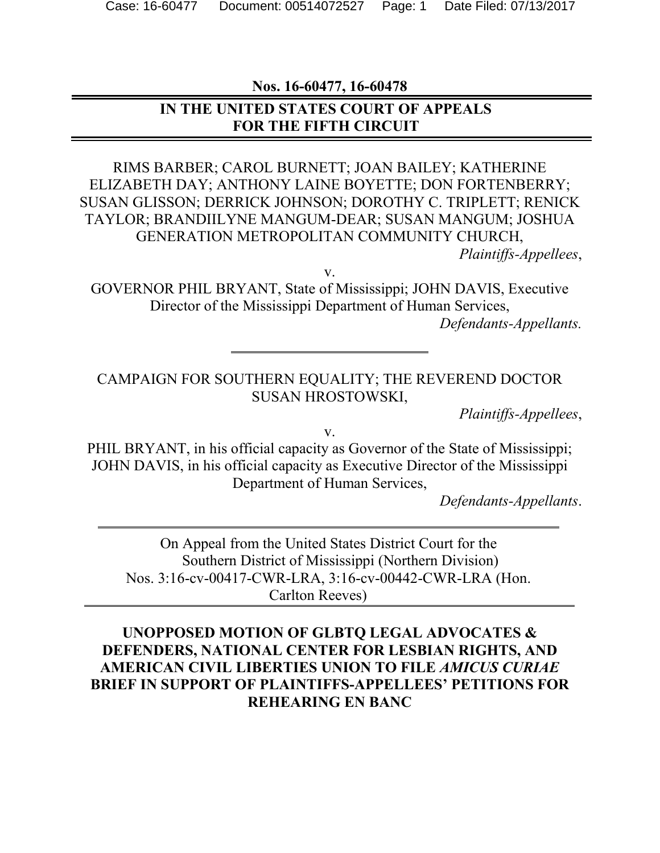**Nos. 16-60477, 16-60478**

### **IN THE UNITED STATES COURT OF APPEALS FOR THE FIFTH CIRCUIT**

RIMS BARBER; CAROL BURNETT; JOAN BAILEY; KATHERINE ELIZABETH DAY; ANTHONY LAINE BOYETTE; DON FORTENBERRY; SUSAN GLISSON; DERRICK JOHNSON; DOROTHY C. TRIPLETT; RENICK TAYLOR; BRANDIILYNE MANGUM-DEAR; SUSAN MANGUM; JOSHUA GENERATION METROPOLITAN COMMUNITY CHURCH,

*Plaintiffs-Appellees*,

v.

GOVERNOR PHIL BRYANT, State of Mississippi; JOHN DAVIS, Executive Director of the Mississippi Department of Human Services,

*Defendants-Appellants.*

#### CAMPAIGN FOR SOUTHERN EQUALITY; THE REVEREND DOCTOR SUSAN HROSTOWSKI,

*Plaintiffs-Appellees*,

v.

PHIL BRYANT, in his official capacity as Governor of the State of Mississippi; JOHN DAVIS, in his official capacity as Executive Director of the Mississippi Department of Human Services,

*Defendants-Appellants*.

On Appeal from the United States District Court for the Southern District of Mississippi (Northern Division) Nos. 3:16-cv-00417-CWR-LRA, 3:16-cv-00442-CWR-LRA (Hon. Carlton Reeves)

### **UNOPPOSED MOTION OF GLBTQ LEGAL ADVOCATES & DEFENDERS, NATIONAL CENTER FOR LESBIAN RIGHTS, AND AMERICAN CIVIL LIBERTIES UNION TO FILE** *AMICUS CURIAE* **BRIEF IN SUPPORT OF PLAINTIFFS-APPELLEES' PETITIONS FOR REHEARING EN BANC**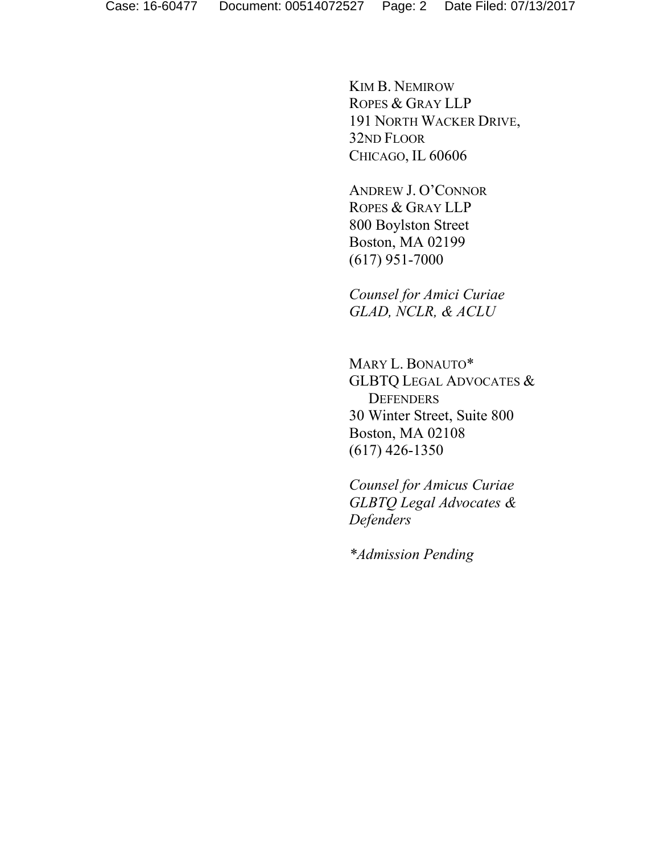KIM B. NEMIROW ROPES & GRAY LLP 191 NORTH WACKER DRIVE, 32ND FLOOR CHICAGO, IL 60606

ANDREW J. O'CONNOR ROPES & GRAY LLP 800 Boylston Street Boston, MA 02199 (617) 951-7000

*Counsel for Amici Curiae GLAD, NCLR, & ACLU*

MARY L. BONAUTO\* GLBTQ LEGAL ADVOCATES & **DEFENDERS** 30 Winter Street, Suite 800 Boston, MA 02108 (617) 426-1350

*Counsel for Amicus Curiae GLBTQ Legal Advocates & Defenders*

*\*Admission Pending*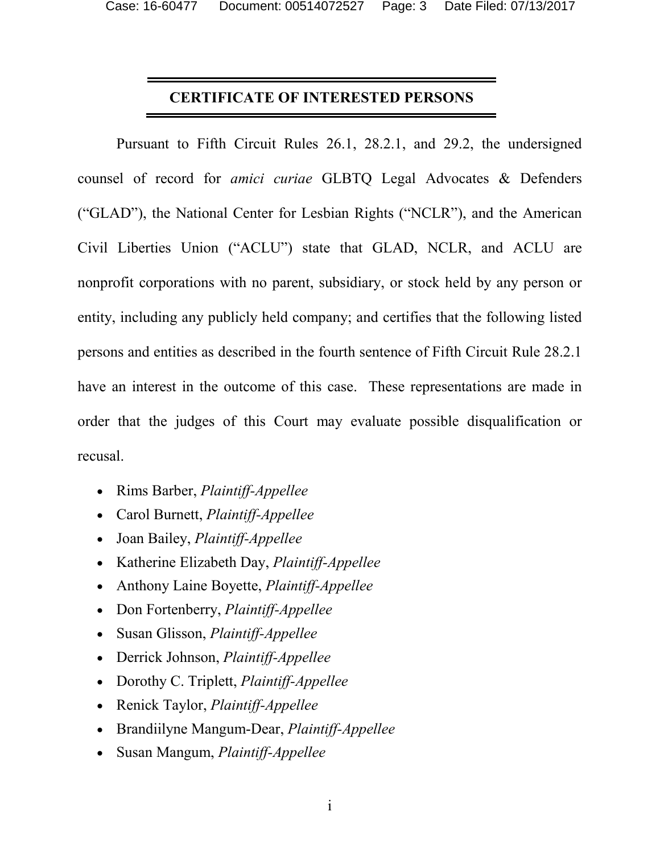#### **CERTIFICATE OF INTERESTED PERSONS**

Pursuant to Fifth Circuit Rules 26.1, 28.2.1, and 29.2, the undersigned counsel of record for *amici curiae* GLBTQ Legal Advocates & Defenders ("GLAD"), the National Center for Lesbian Rights ("NCLR"), and the American Civil Liberties Union ("ACLU") state that GLAD, NCLR, and ACLU are nonprofit corporations with no parent, subsidiary, or stock held by any person or entity, including any publicly held company; and certifies that the following listed persons and entities as described in the fourth sentence of Fifth Circuit Rule 28.2.1 have an interest in the outcome of this case. These representations are made in order that the judges of this Court may evaluate possible disqualification or recusal.

- Rims Barber, *Plaintiff-Appellee*
- Carol Burnett, *Plaintiff-Appellee*
- Joan Bailey, *Plaintiff-Appellee*
- Katherine Elizabeth Day, *Plaintiff-Appellee*
- Anthony Laine Boyette, *Plaintiff-Appellee*
- Don Fortenberry, *Plaintiff-Appellee*
- Susan Glisson, *Plaintiff-Appellee*
- Derrick Johnson, *Plaintiff-Appellee*
- Dorothy C. Triplett, *Plaintiff-Appellee*
- Renick Taylor, *Plaintiff-Appellee*
- Brandiilyne Mangum-Dear, *Plaintiff-Appellee*
- Susan Mangum, *Plaintiff-Appellee*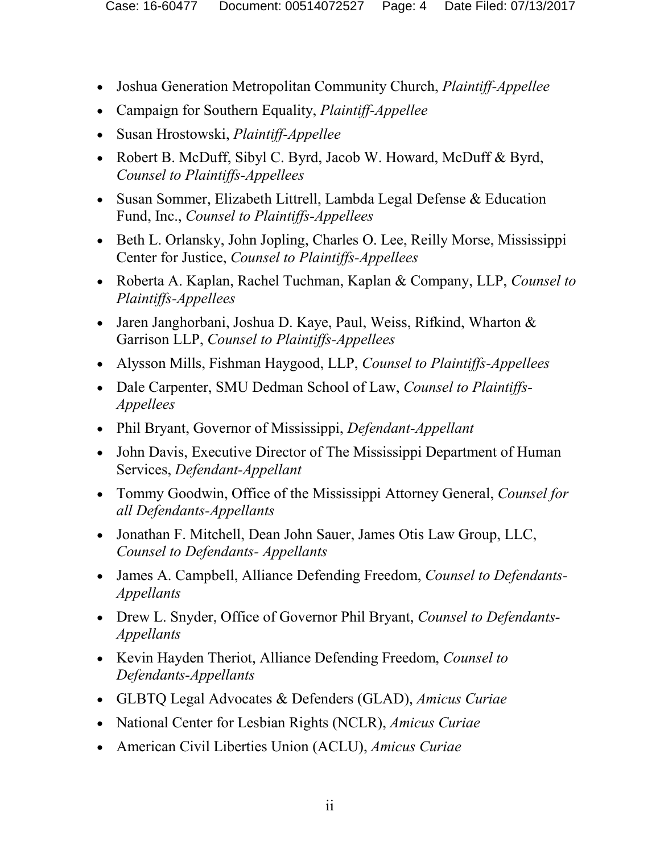- Joshua Generation Metropolitan Community Church, *Plaintiff-Appellee*
- Campaign for Southern Equality, *Plaintiff-Appellee*
- Susan Hrostowski, *Plaintiff-Appellee*
- Robert B. McDuff, Sibyl C. Byrd, Jacob W. Howard, McDuff & Byrd, *Counsel to Plaintiffs-Appellees*
- Susan Sommer, Elizabeth Littrell, Lambda Legal Defense & Education Fund, Inc., *Counsel to Plaintiffs-Appellees*
- Beth L. Orlansky, John Jopling, Charles O. Lee, Reilly Morse, Mississippi Center for Justice, *Counsel to Plaintiffs-Appellees*
- Roberta A. Kaplan, Rachel Tuchman, Kaplan & Company, LLP, *Counsel to Plaintiffs-Appellees*
- Jaren Janghorbani, Joshua D. Kaye, Paul, Weiss, Rifkind, Wharton & Garrison LLP, *Counsel to Plaintiffs-Appellees*
- Alysson Mills, Fishman Haygood, LLP, *Counsel to Plaintiffs-Appellees*
- Dale Carpenter, SMU Dedman School of Law, *Counsel to Plaintiffs-Appellees*
- Phil Bryant, Governor of Mississippi, *Defendant-Appellant*
- John Davis, Executive Director of The Mississippi Department of Human Services, *Defendant-Appellant*
- Tommy Goodwin, Office of the Mississippi Attorney General, *Counsel for all Defendants-Appellants*
- Jonathan F. Mitchell, Dean John Sauer, James Otis Law Group, LLC, *Counsel to Defendants- Appellants*
- James A. Campbell, Alliance Defending Freedom, *Counsel to Defendants-Appellants*
- Drew L. Snyder, Office of Governor Phil Bryant, *Counsel to Defendants-Appellants*
- Kevin Hayden Theriot, Alliance Defending Freedom, *Counsel to Defendants-Appellants*
- GLBTQ Legal Advocates & Defenders (GLAD), *Amicus Curiae*
- National Center for Lesbian Rights (NCLR), *Amicus Curiae*
- American Civil Liberties Union (ACLU), *Amicus Curiae*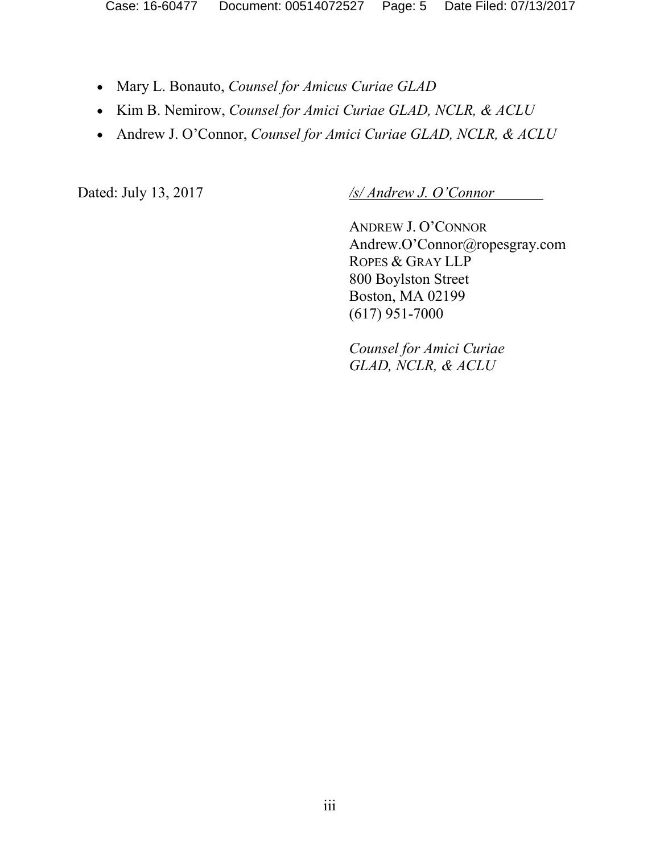- Mary L. Bonauto, *Counsel for Amicus Curiae GLAD*
- Kim B. Nemirow, *Counsel for Amici Curiae GLAD, NCLR, & ACLU*
- Andrew J. O'Connor, *Counsel for Amici Curiae GLAD, NCLR, & ACLU*

Dated: July 13, 2017 */s/ Andrew J. O'Connor* 

ANDREW J. O'CONNOR Andrew.O'Connor@ropesgray.com ROPES & GRAY LLP 800 Boylston Street Boston, MA 02199 (617) 951-7000

*Counsel for Amici Curiae GLAD, NCLR, & ACLU*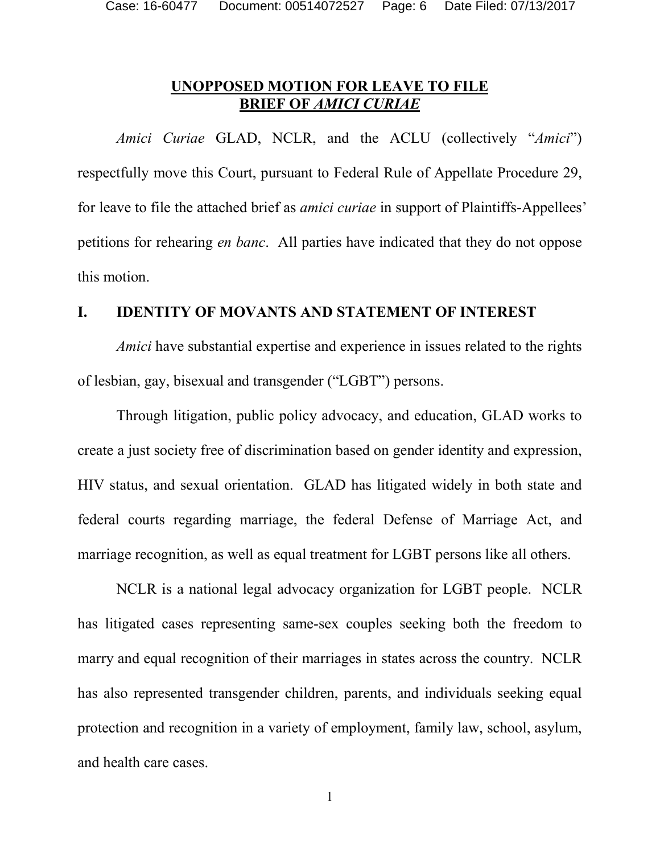## **UNOPPOSED MOTION FOR LEAVE TO FILE BRIEF OF** *AMICI CURIAE*

*Amici Curiae* GLAD, NCLR, and the ACLU (collectively "*Amici*") respectfully move this Court, pursuant to Federal Rule of Appellate Procedure 29, for leave to file the attached brief as *amici curiae* in support of Plaintiffs-Appellees' petitions for rehearing *en banc*. All parties have indicated that they do not oppose this motion.

#### **I. IDENTITY OF MOVANTS AND STATEMENT OF INTEREST**

*Amici* have substantial expertise and experience in issues related to the rights of lesbian, gay, bisexual and transgender ("LGBT") persons.

Through litigation, public policy advocacy, and education, GLAD works to create a just society free of discrimination based on gender identity and expression, HIV status, and sexual orientation. GLAD has litigated widely in both state and federal courts regarding marriage, the federal Defense of Marriage Act, and marriage recognition, as well as equal treatment for LGBT persons like all others.

NCLR is a national legal advocacy organization for LGBT people. NCLR has litigated cases representing same-sex couples seeking both the freedom to marry and equal recognition of their marriages in states across the country. NCLR has also represented transgender children, parents, and individuals seeking equal protection and recognition in a variety of employment, family law, school, asylum, and health care cases.

1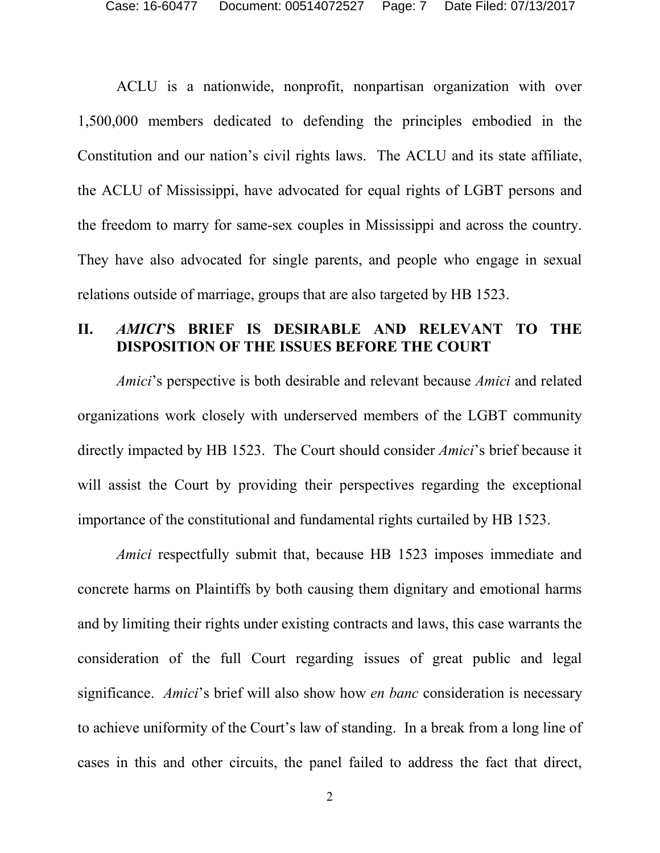ACLU is a nationwide, nonprofit, nonpartisan organization with over 1,500,000 members dedicated to defending the principles embodied in the Constitution and our nation's civil rights laws. The ACLU and its state affiliate, the ACLU of Mississippi, have advocated for equal rights of LGBT persons and the freedom to marry for same-sex couples in Mississippi and across the country. They have also advocated for single parents, and people who engage in sexual relations outside of marriage, groups that are also targeted by HB 1523.

#### **II.** *AMICI***'S BRIEF IS DESIRABLE AND RELEVANT TO THE DISPOSITION OF THE ISSUES BEFORE THE COURT**

*Amici*'s perspective is both desirable and relevant because *Amici* and related organizations work closely with underserved members of the LGBT community directly impacted by HB 1523. The Court should consider *Amici*'s brief because it will assist the Court by providing their perspectives regarding the exceptional importance of the constitutional and fundamental rights curtailed by HB 1523.

*Amici* respectfully submit that, because HB 1523 imposes immediate and concrete harms on Plaintiffs by both causing them dignitary and emotional harms and by limiting their rights under existing contracts and laws, this case warrants the consideration of the full Court regarding issues of great public and legal significance. *Amici*'s brief will also show how *en banc* consideration is necessary to achieve uniformity of the Court's law of standing. In a break from a long line of cases in this and other circuits, the panel failed to address the fact that direct,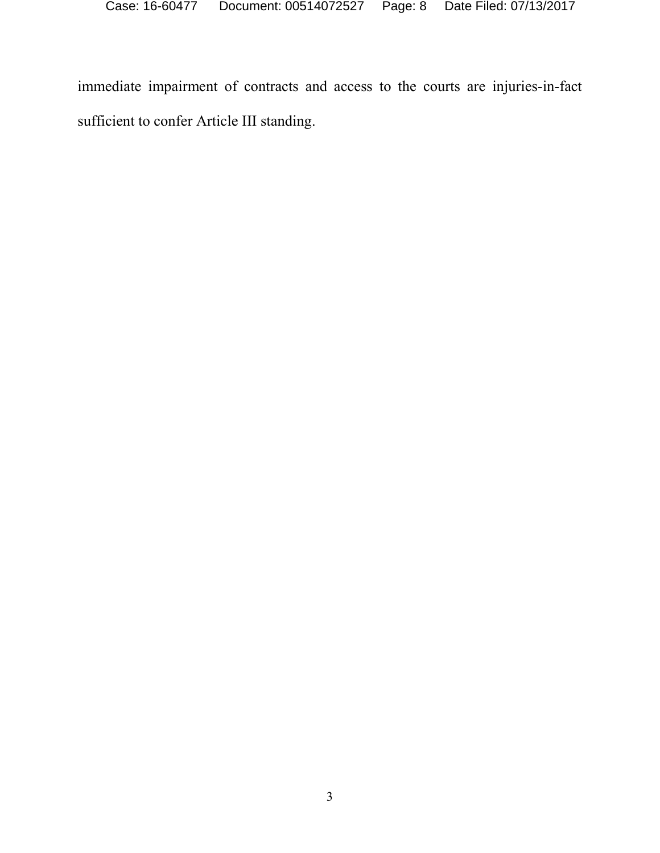immediate impairment of contracts and access to the courts are injuries-in-fact sufficient to confer Article III standing.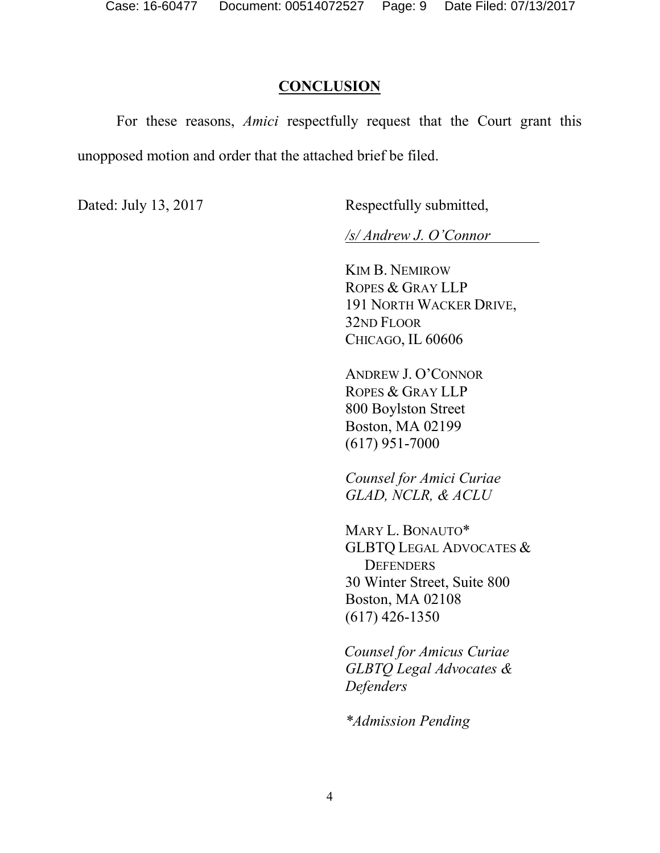#### **CONCLUSION**

For these reasons, *Amici* respectfully request that the Court grant this unopposed motion and order that the attached brief be filed.

Dated: July 13, 2017 Respectfully submitted,

*/s/ Andrew J. O'Connor* 

KIM B. NEMIROW ROPES & GRAY LLP 191 NORTH WACKER DRIVE, 32ND FLOOR CHICAGO, IL 60606

ANDREW J. O'CONNOR ROPES & GRAY LLP 800 Boylston Street Boston, MA 02199 (617) 951-7000

*Counsel for Amici Curiae GLAD, NCLR, & ACLU*

MARY L. BONAUTO\* GLBTQ LEGAL ADVOCATES & **DEFENDERS** 30 Winter Street, Suite 800 Boston, MA 02108 (617) 426-1350

*Counsel for Amicus Curiae GLBTQ Legal Advocates & Defenders*

*\*Admission Pending*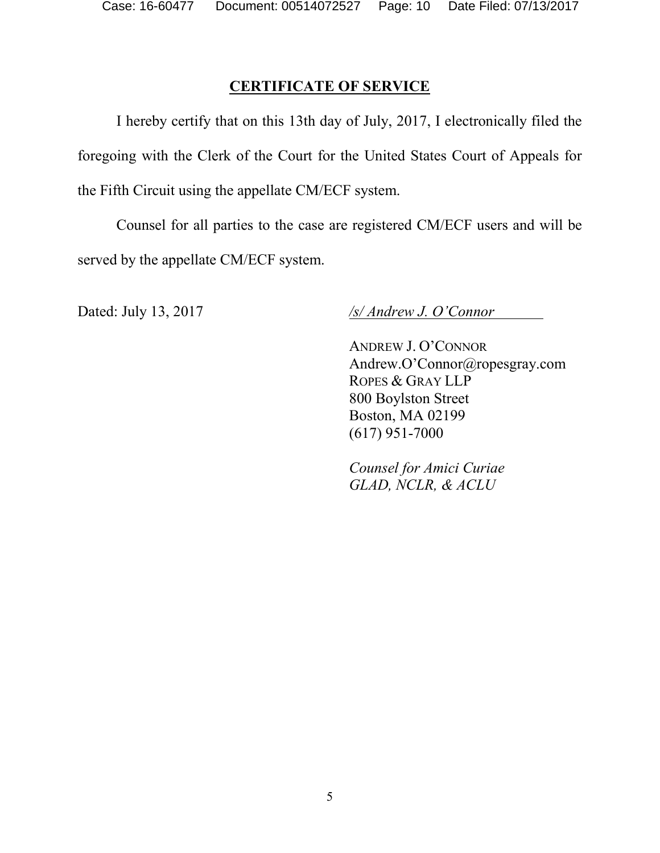## **CERTIFICATE OF SERVICE**

I hereby certify that on this 13th day of July, 2017, I electronically filed the foregoing with the Clerk of the Court for the United States Court of Appeals for the Fifth Circuit using the appellate CM/ECF system.

Counsel for all parties to the case are registered CM/ECF users and will be served by the appellate CM/ECF system.

Dated: July 13, 2017 */s/ Andrew J. O'Connor* 

ANDREW J. O'CONNOR Andrew.O'Connor@ropesgray.com ROPES & GRAY LLP 800 Boylston Street Boston, MA 02199 (617) 951-7000

*Counsel for Amici Curiae GLAD, NCLR, & ACLU*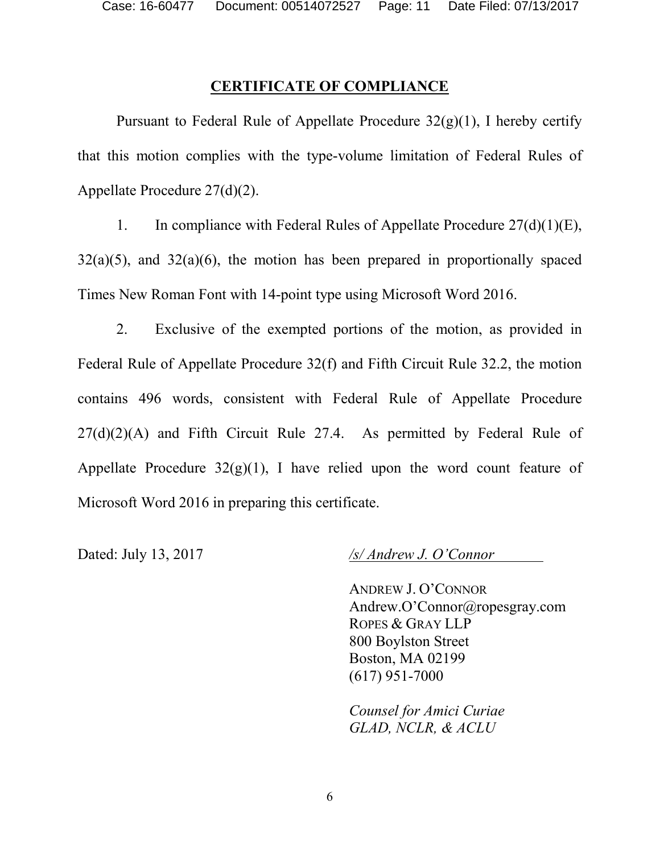#### **CERTIFICATE OF COMPLIANCE**

Pursuant to Federal Rule of Appellate Procedure  $32(g)(1)$ , I hereby certify that this motion complies with the type-volume limitation of Federal Rules of Appellate Procedure 27(d)(2).

1. In compliance with Federal Rules of Appellate Procedure 27(d)(1)(E),  $32(a)(5)$ , and  $32(a)(6)$ , the motion has been prepared in proportionally spaced Times New Roman Font with 14-point type using Microsoft Word 2016.

2. Exclusive of the exempted portions of the motion, as provided in Federal Rule of Appellate Procedure 32(f) and Fifth Circuit Rule 32.2, the motion contains 496 words, consistent with Federal Rule of Appellate Procedure  $27(d)(2)(A)$  and Fifth Circuit Rule 27.4. As permitted by Federal Rule of Appellate Procedure  $32(g)(1)$ , I have relied upon the word count feature of Microsoft Word 2016 in preparing this certificate.

Dated: July 13, 2017 */s/ Andrew J. O'Connor* 

ANDREW J. O'CONNOR Andrew.O'Connor@ropesgray.com ROPES & GRAY LLP 800 Boylston Street Boston, MA 02199 (617) 951-7000

*Counsel for Amici Curiae GLAD, NCLR, & ACLU*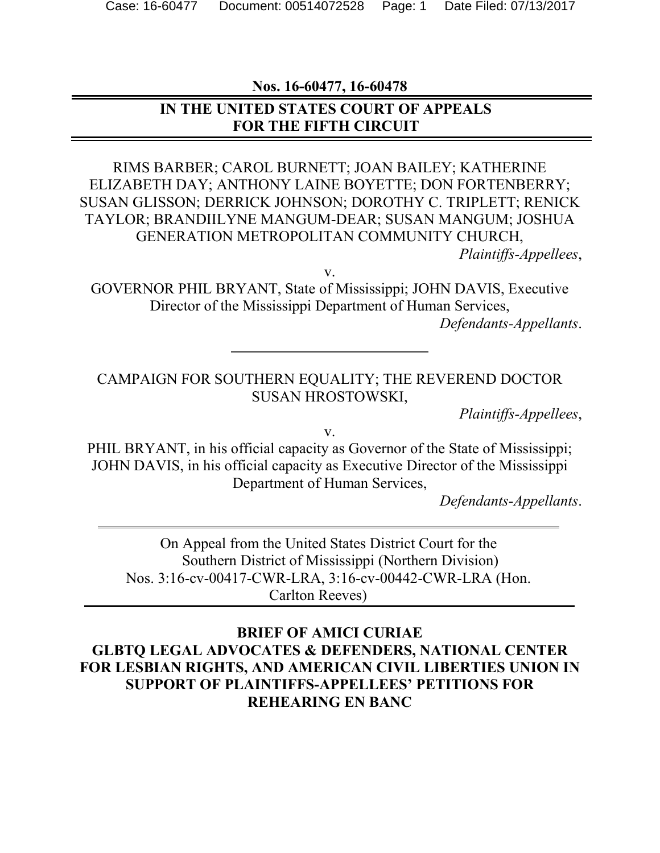**Nos. 16-60477, 16-60478**

### **IN THE UNITED STATES COURT OF APPEALS FOR THE FIFTH CIRCUIT**

RIMS BARBER; CAROL BURNETT; JOAN BAILEY; KATHERINE ELIZABETH DAY; ANTHONY LAINE BOYETTE; DON FORTENBERRY; SUSAN GLISSON; DERRICK JOHNSON; DOROTHY C. TRIPLETT; RENICK TAYLOR; BRANDIILYNE MANGUM-DEAR; SUSAN MANGUM; JOSHUA GENERATION METROPOLITAN COMMUNITY CHURCH,

*Plaintiffs-Appellees*,

v.

GOVERNOR PHIL BRYANT, State of Mississippi; JOHN DAVIS, Executive Director of the Mississippi Department of Human Services,

*Defendants-Appellants*.

#### CAMPAIGN FOR SOUTHERN EQUALITY; THE REVEREND DOCTOR SUSAN HROSTOWSKI,

*Plaintiffs-Appellees*,

v.

PHIL BRYANT, in his official capacity as Governor of the State of Mississippi; JOHN DAVIS, in his official capacity as Executive Director of the Mississippi Department of Human Services,

*Defendants-Appellants*.

On Appeal from the United States District Court for the Southern District of Mississippi (Northern Division) Nos. 3:16-cv-00417-CWR-LRA, 3:16-cv-00442-CWR-LRA (Hon. Carlton Reeves)

**BRIEF OF AMICI CURIAE GLBTQ LEGAL ADVOCATES & DEFENDERS, NATIONAL CENTER FOR LESBIAN RIGHTS, AND AMERICAN CIVIL LIBERTIES UNION IN SUPPORT OF PLAINTIFFS-APPELLEES' PETITIONS FOR REHEARING EN BANC**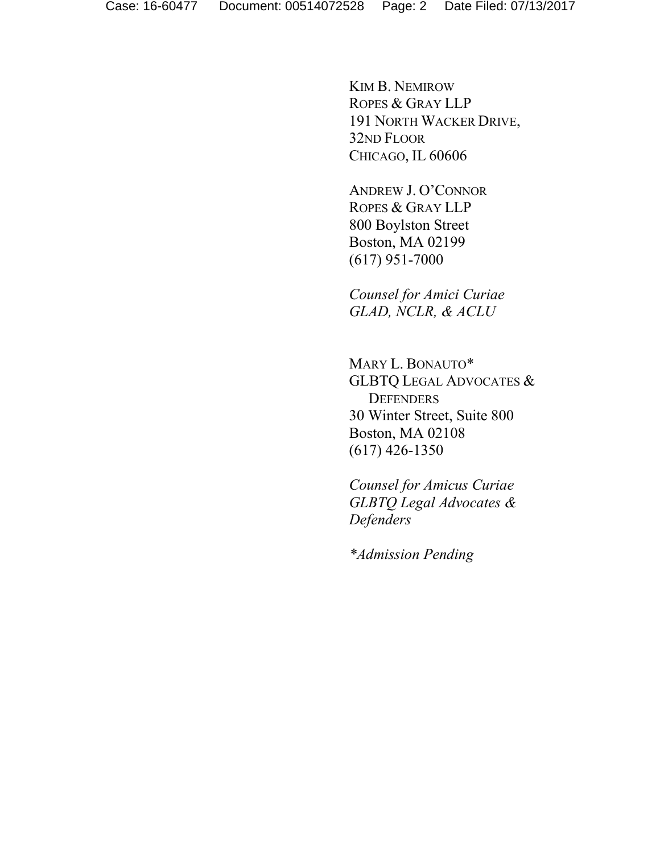KIM B. NEMIROW ROPES & GRAY LLP 191 NORTH WACKER DRIVE, 32ND FLOOR CHICAGO, IL 60606

ANDREW J. O'CONNOR ROPES & GRAY LLP 800 Boylston Street Boston, MA 02199 (617) 951-7000

*Counsel for Amici Curiae GLAD, NCLR, & ACLU*

MARY L. BONAUTO\* GLBTQ LEGAL ADVOCATES & **DEFENDERS** 30 Winter Street, Suite 800 Boston, MA 02108 (617) 426-1350

*Counsel for Amicus Curiae GLBTQ Legal Advocates & Defenders*

*\*Admission Pending*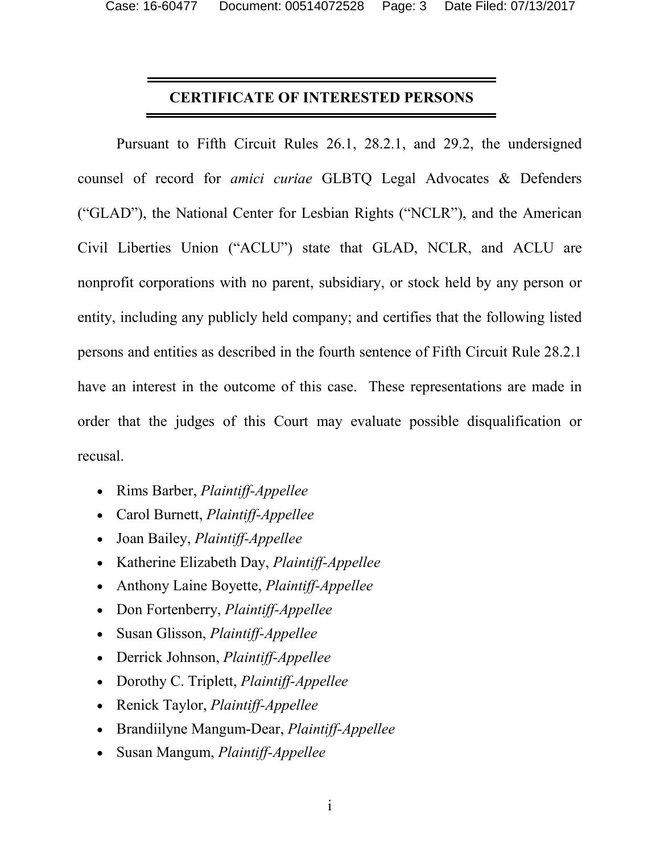#### **CERTIFICATE OF INTERESTED PERSONS**

Pursuant to Fifth Circuit Rules 26.1, 28.2.1, and 29.2, the undersigned counsel of record for *amici curiae* GLBTQ Legal Advocates & Defenders ("GLAD"), the National Center for Lesbian Rights ("NCLR"), and the American Civil Liberties Union ("ACLU") state that GLAD, NCLR, and ACLU are nonprofit corporations with no parent, subsidiary, or stock held by any person or entity, including any publicly held company; and certifies that the following listed persons and entities as described in the fourth sentence of Fifth Circuit Rule 28.2.1 have an interest in the outcome of this case. These representations are made in order that the judges of this Court may evaluate possible disqualification or recusal.

- Rims Barber, *Plaintiff-Appellee*
- Carol Burnett, *Plaintiff-Appellee*
- Joan Bailey, *Plaintiff-Appellee*
- Katherine Elizabeth Day, *Plaintiff-Appellee*
- Anthony Laine Boyette, *Plaintiff-Appellee*
- Don Fortenberry, *Plaintiff-Appellee*
- Susan Glisson, *Plaintiff-Appellee*
- Derrick Johnson, *Plaintiff-Appellee*
- Dorothy C. Triplett, *Plaintiff-Appellee*
- Renick Taylor, *Plaintiff-Appellee*
- Brandiilyne Mangum-Dear, *Plaintiff-Appellee*
- Susan Mangum, *Plaintiff-Appellee*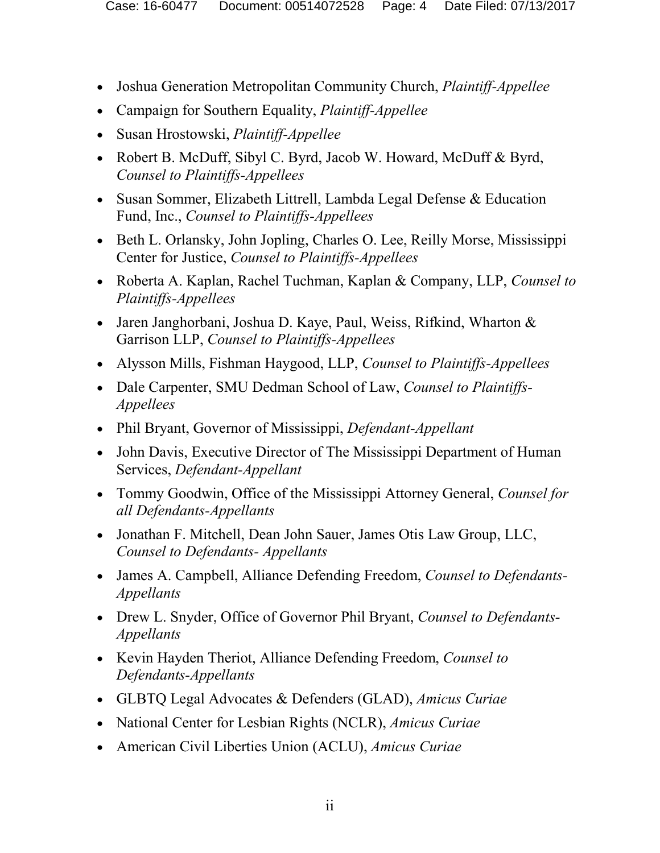- Joshua Generation Metropolitan Community Church, *Plaintiff-Appellee*
- Campaign for Southern Equality, *Plaintiff-Appellee*
- Susan Hrostowski, *Plaintiff-Appellee*
- Robert B. McDuff, Sibyl C. Byrd, Jacob W. Howard, McDuff & Byrd, *Counsel to Plaintiffs-Appellees*
- Susan Sommer, Elizabeth Littrell, Lambda Legal Defense & Education Fund, Inc., *Counsel to Plaintiffs-Appellees*
- Beth L. Orlansky, John Jopling, Charles O. Lee, Reilly Morse, Mississippi Center for Justice, *Counsel to Plaintiffs-Appellees*
- Roberta A. Kaplan, Rachel Tuchman, Kaplan & Company, LLP, *Counsel to Plaintiffs-Appellees*
- Jaren Janghorbani, Joshua D. Kaye, Paul, Weiss, Rifkind, Wharton & Garrison LLP, *Counsel to Plaintiffs-Appellees*
- Alysson Mills, Fishman Haygood, LLP, *Counsel to Plaintiffs-Appellees*
- Dale Carpenter, SMU Dedman School of Law, *Counsel to Plaintiffs-Appellees*
- Phil Bryant, Governor of Mississippi, *Defendant-Appellant*
- John Davis, Executive Director of The Mississippi Department of Human Services, *Defendant-Appellant*
- Tommy Goodwin, Office of the Mississippi Attorney General, *Counsel for all Defendants-Appellants*
- Jonathan F. Mitchell, Dean John Sauer, James Otis Law Group, LLC, *Counsel to Defendants- Appellants*
- James A. Campbell, Alliance Defending Freedom, *Counsel to Defendants-Appellants*
- Drew L. Snyder, Office of Governor Phil Bryant, *Counsel to Defendants-Appellants*
- Kevin Hayden Theriot, Alliance Defending Freedom, *Counsel to Defendants-Appellants*
- GLBTQ Legal Advocates & Defenders (GLAD), *Amicus Curiae*
- National Center for Lesbian Rights (NCLR), *Amicus Curiae*
- American Civil Liberties Union (ACLU), *Amicus Curiae*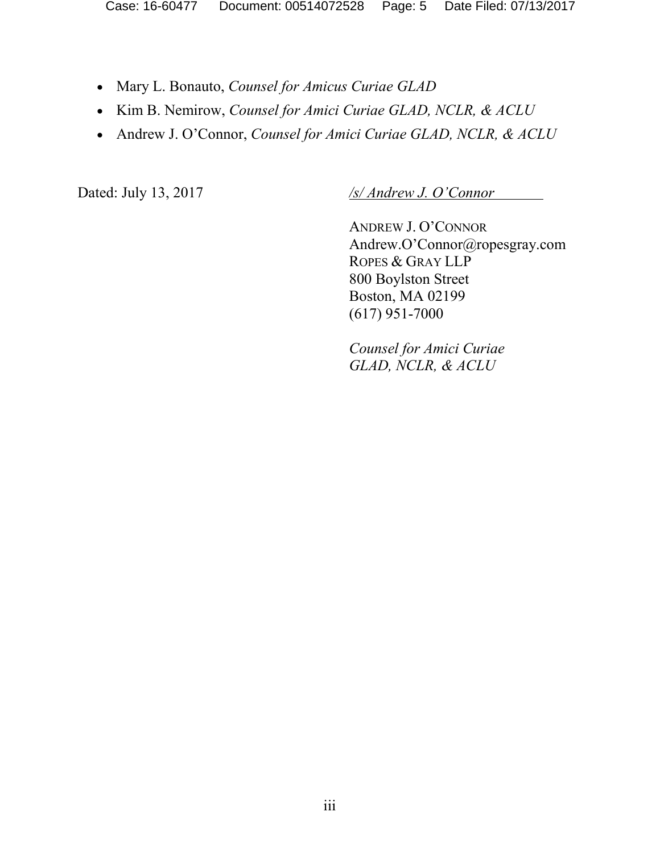- Mary L. Bonauto, *Counsel for Amicus Curiae GLAD*
- Kim B. Nemirow, *Counsel for Amici Curiae GLAD, NCLR, & ACLU*
- Andrew J. O'Connor, *Counsel for Amici Curiae GLAD, NCLR, & ACLU*

Dated: July 13, 2017 */s/ Andrew J. O'Connor* 

ANDREW J. O'CONNOR Andrew.O'Connor@ropesgray.com ROPES & GRAY LLP 800 Boylston Street Boston, MA 02199 (617) 951-7000

*Counsel for Amici Curiae GLAD, NCLR, & ACLU*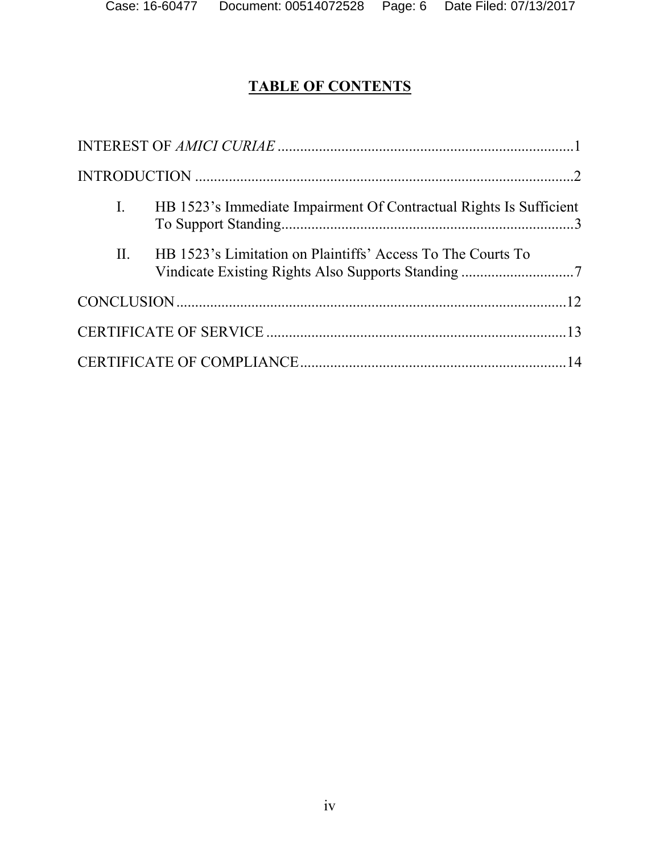# **TABLE OF CONTENTS**

| $\mathbf{I}$ . | HB 1523's Immediate Impairment Of Contractual Rights Is Sufficient                                                |  |
|----------------|-------------------------------------------------------------------------------------------------------------------|--|
| II.            | HB 1523's Limitation on Plaintiffs' Access To The Courts To<br>Vindicate Existing Rights Also Supports Standing 7 |  |
|                |                                                                                                                   |  |
|                |                                                                                                                   |  |
|                |                                                                                                                   |  |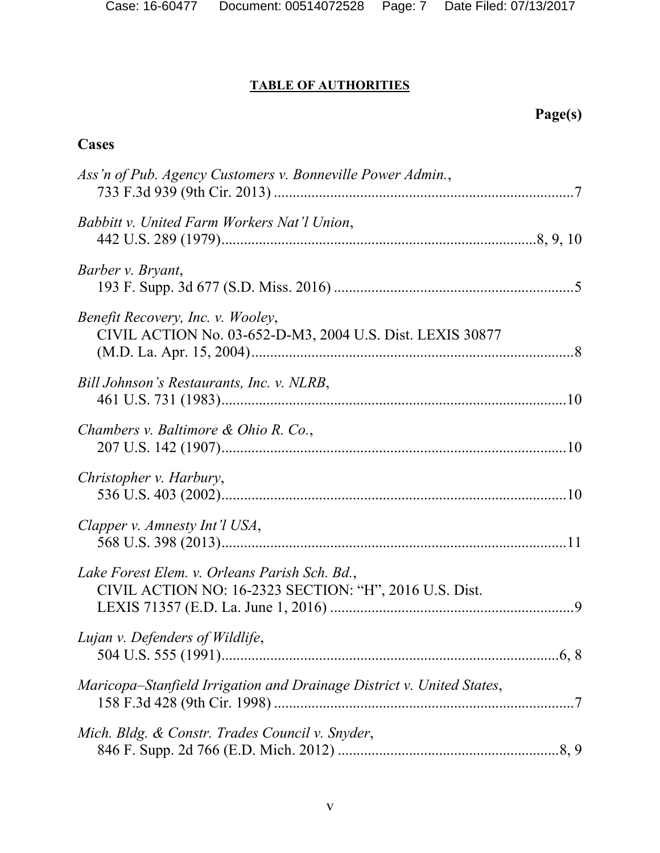### **TABLE OF AUTHORITIES**

# **Page(s)**

## **Cases**

| Ass'n of Pub. Agency Customers v. Bonneville Power Admin.,                                              |  |
|---------------------------------------------------------------------------------------------------------|--|
| Babbitt v. United Farm Workers Nat'l Union,                                                             |  |
| Barber v. Bryant,                                                                                       |  |
| Benefit Recovery, Inc. v. Wooley,<br>CIVIL ACTION No. 03-652-D-M3, 2004 U.S. Dist. LEXIS 30877          |  |
| Bill Johnson's Restaurants, Inc. v. NLRB,                                                               |  |
| Chambers v. Baltimore & Ohio R. Co.,                                                                    |  |
| Christopher v. Harbury,                                                                                 |  |
| Clapper v. Amnesty Int'l USA,                                                                           |  |
| Lake Forest Elem. v. Orleans Parish Sch. Bd.,<br>CIVIL ACTION NO: 16-2323 SECTION: "H", 2016 U.S. Dist. |  |
| Lujan v. Defenders of Wildlife,                                                                         |  |
| Maricopa–Stanfield Irrigation and Drainage District v. United States,                                   |  |
| Mich. Bldg. & Constr. Trades Council v. Snyder,                                                         |  |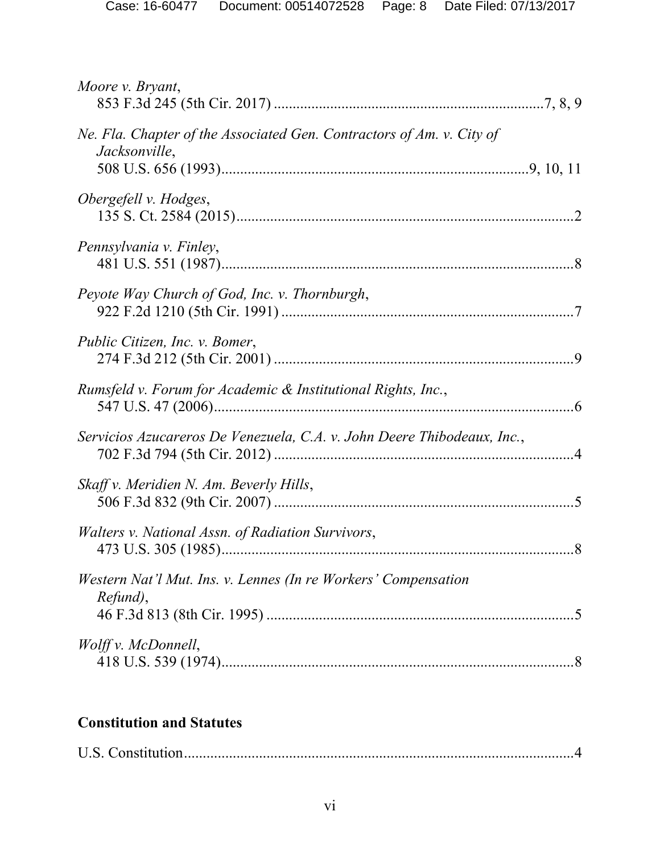| Moore <i>v.</i> Bryant,                                                                |  |
|----------------------------------------------------------------------------------------|--|
| Ne. Fla. Chapter of the Associated Gen. Contractors of Am. v. City of<br>Jacksonville, |  |
| Obergefell v. Hodges,                                                                  |  |
| Pennsylvania v. Finley,                                                                |  |
| Peyote Way Church of God, Inc. v. Thornburgh,                                          |  |
| Public Citizen, Inc. v. Bomer,                                                         |  |
| Rumsfeld v. Forum for Academic & Institutional Rights, Inc.,                           |  |
| Servicios Azucareros De Venezuela, C.A. v. John Deere Thibodeaux, Inc.,                |  |
| Skaff v. Meridien N. Am. Beverly Hills,                                                |  |
| Walters v. National Assn. of Radiation Survivors,                                      |  |
| Western Nat'l Mut. Ins. v. Lennes (In re Workers' Compensation<br>Refund),             |  |
| Wolff v. McDonnell,                                                                    |  |

## **Constitution and Statutes**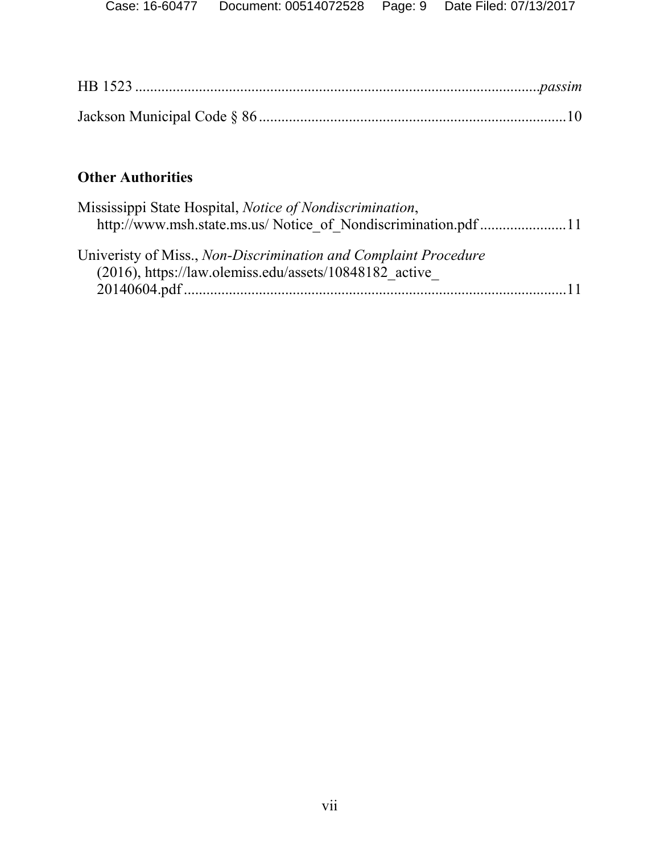## **Other Authorities**

| Mississippi State Hospital, <i>Notice of Nondiscrimination</i> , |                 |
|------------------------------------------------------------------|-----------------|
| http://www.msh.state.ms.us/ Notice of Nondiscrimination.pdf11    |                 |
|                                                                  |                 |
| Univeristy of Miss., Non-Discrimination and Complaint Procedure  |                 |
| $(2016)$ , https://law.olemiss.edu/assets/10848182 active        |                 |
|                                                                  | $\overline{11}$ |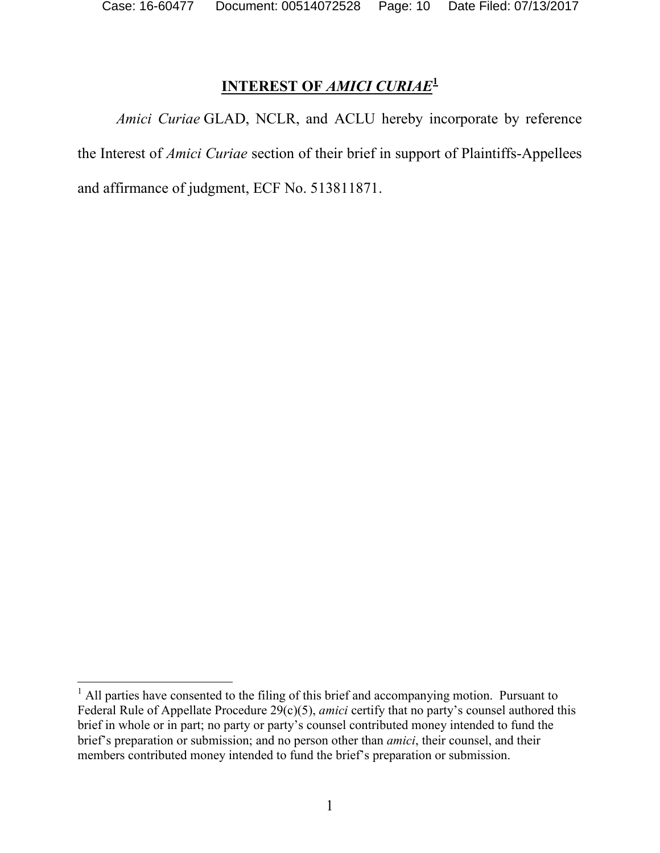# **INTEREST OF** *AMICI CURIAE***<sup>1</sup>**

*Amici Curiae* GLAD, NCLR, and ACLU hereby incorporate by reference the Interest of *Amici Curiae* section of their brief in support of Plaintiffs-Appellees and affirmance of judgment, ECF No. 513811871.

 $<sup>1</sup>$  All parties have consented to the filing of this brief and accompanying motion. Pursuant to</sup> Federal Rule of Appellate Procedure 29(c)(5), *amici* certify that no party's counsel authored this brief in whole or in part; no party or party's counsel contributed money intended to fund the brief's preparation or submission; and no person other than *amici*, their counsel, and their members contributed money intended to fund the brief's preparation or submission.  $\overline{a}$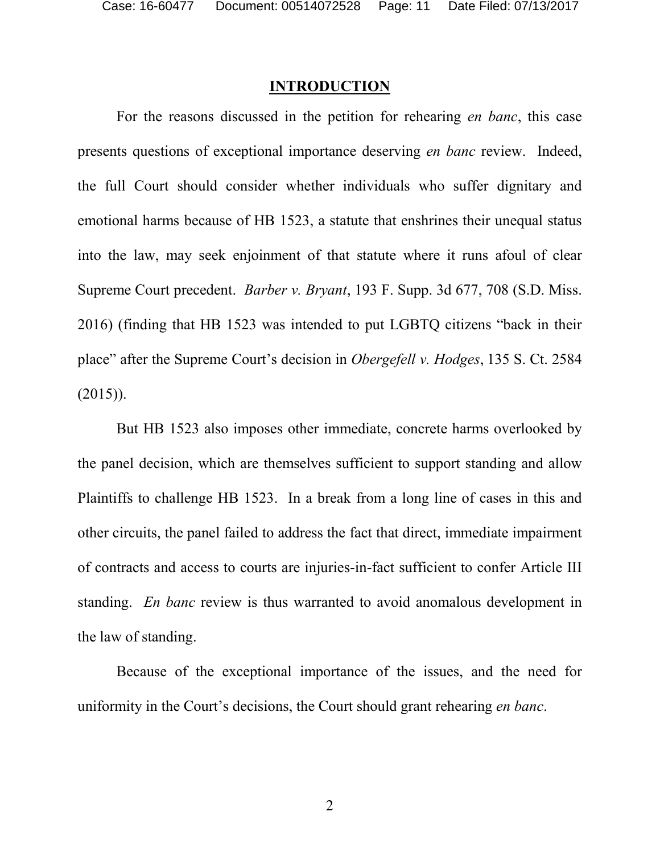#### **INTRODUCTION**

For the reasons discussed in the petition for rehearing *en banc*, this case presents questions of exceptional importance deserving *en banc* review. Indeed, the full Court should consider whether individuals who suffer dignitary and emotional harms because of HB 1523, a statute that enshrines their unequal status into the law, may seek enjoinment of that statute where it runs afoul of clear Supreme Court precedent. *Barber v. Bryant*, 193 F. Supp. 3d 677, 708 (S.D. Miss. 2016) (finding that HB 1523 was intended to put LGBTQ citizens "back in their place" after the Supreme Court's decision in *Obergefell v. Hodges*, 135 S. Ct. 2584  $(2015)$ ).

But HB 1523 also imposes other immediate, concrete harms overlooked by the panel decision, which are themselves sufficient to support standing and allow Plaintiffs to challenge HB 1523. In a break from a long line of cases in this and other circuits, the panel failed to address the fact that direct, immediate impairment of contracts and access to courts are injuries-in-fact sufficient to confer Article III standing. *En banc* review is thus warranted to avoid anomalous development in the law of standing.

Because of the exceptional importance of the issues, and the need for uniformity in the Court's decisions, the Court should grant rehearing *en banc*.

2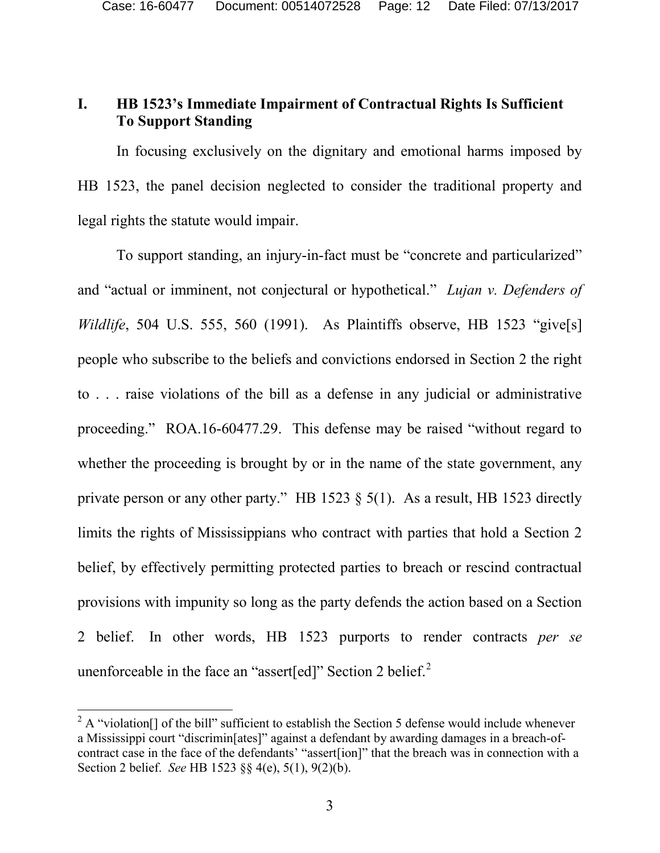#### **I. HB 1523's Immediate Impairment of Contractual Rights Is Sufficient To Support Standing**

In focusing exclusively on the dignitary and emotional harms imposed by HB 1523, the panel decision neglected to consider the traditional property and legal rights the statute would impair.

To support standing, an injury-in-fact must be "concrete and particularized" and "actual or imminent, not conjectural or hypothetical." *Lujan v. Defenders of Wildlife*, 504 U.S. 555, 560 (1991). As Plaintiffs observe, HB 1523 "give[s] people who subscribe to the beliefs and convictions endorsed in Section 2 the right to . . . raise violations of the bill as a defense in any judicial or administrative proceeding." ROA.16-60477.29. This defense may be raised "without regard to whether the proceeding is brought by or in the name of the state government, any private person or any other party." HB 1523  $\S$  5(1). As a result, HB 1523 directly limits the rights of Mississippians who contract with parties that hold a Section 2 belief, by effectively permitting protected parties to breach or rescind contractual provisions with impunity so long as the party defends the action based on a Section 2 belief. In other words, HB 1523 purports to render contracts *per se* unenforceable in the face an "assert[ed]" Section 2 belief.<sup>2</sup>

 $2 A$  "violation<sup>[]</sup> of the bill" sufficient to establish the Section 5 defense would include whenever a Mississippi court "discrimin[ates]" against a defendant by awarding damages in a breach-ofcontract case in the face of the defendants' "assert[ion]" that the breach was in connection with a Section 2 belief. *See* HB 1523 §§ 4(e), 5(1), 9(2)(b).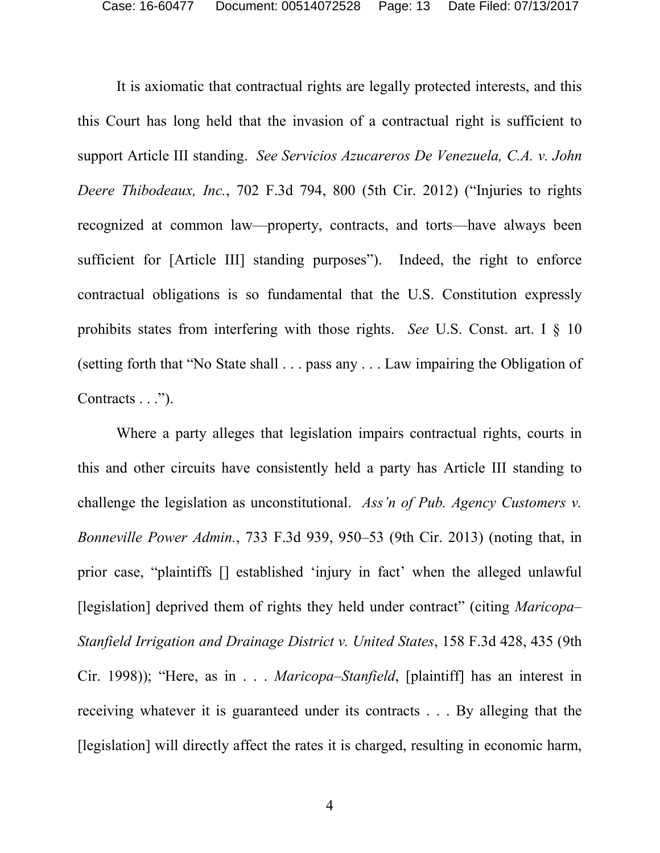It is axiomatic that contractual rights are legally protected interests, and this this Court has long held that the invasion of a contractual right is sufficient to support Article III standing. *See Servicios Azucareros De Venezuela, C.A. v. John Deere Thibodeaux, Inc.*, 702 F.3d 794, 800 (5th Cir. 2012) ("Injuries to rights recognized at common law—property, contracts, and torts—have always been sufficient for [Article III] standing purposes"). Indeed, the right to enforce contractual obligations is so fundamental that the U.S. Constitution expressly prohibits states from interfering with those rights. *See* U.S. Const. art. I § 10 (setting forth that "No State shall . . . pass any . . . Law impairing the Obligation of Contracts . . .").

Where a party alleges that legislation impairs contractual rights, courts in this and other circuits have consistently held a party has Article III standing to challenge the legislation as unconstitutional. *Ass'n of Pub. Agency Customers v. Bonneville Power Admin.*, 733 F.3d 939, 950–53 (9th Cir. 2013) (noting that, in prior case, "plaintiffs [] established 'injury in fact' when the alleged unlawful [legislation] deprived them of rights they held under contract" (citing *Maricopa– Stanfield Irrigation and Drainage District v. United States*, 158 F.3d 428, 435 (9th Cir. 1998)); "Here, as in . . . *Maricopa–Stanfield*, [plaintiff] has an interest in receiving whatever it is guaranteed under its contracts . . . By alleging that the [legislation] will directly affect the rates it is charged, resulting in economic harm,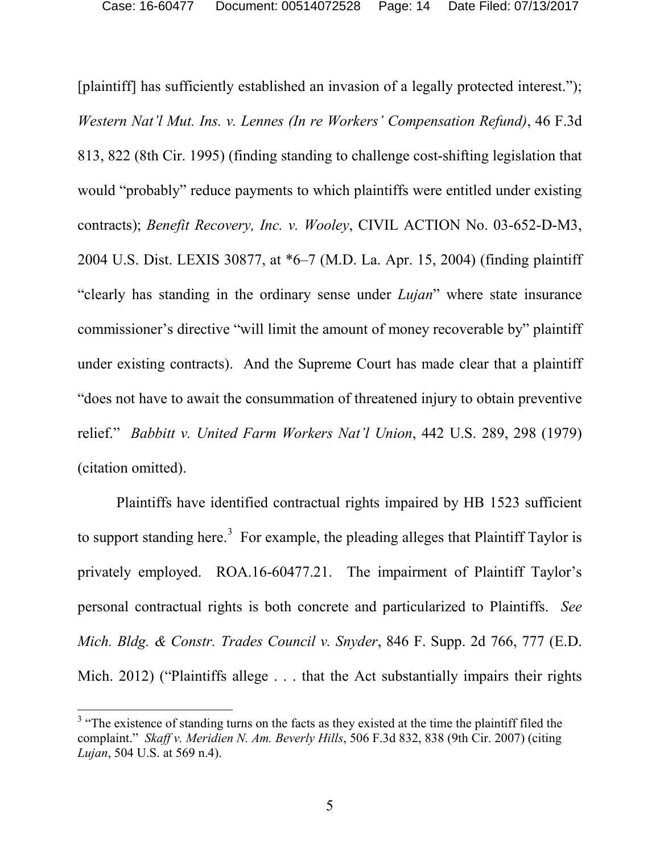[plaintiff] has sufficiently established an invasion of a legally protected interest."); *Western Nat'l Mut. Ins. v. Lennes (In re Workers' Compensation Refund)*, 46 F.3d 813, 822 (8th Cir. 1995) (finding standing to challenge cost-shifting legislation that would "probably" reduce payments to which plaintiffs were entitled under existing contracts); *Benefit Recovery, Inc. v. Wooley*, CIVIL ACTION No. 03-652-D-M3, 2004 U.S. Dist. LEXIS 30877, at \*6–7 (M.D. La. Apr. 15, 2004) (finding plaintiff "clearly has standing in the ordinary sense under *Lujan*" where state insurance commissioner's directive "will limit the amount of money recoverable by" plaintiff under existing contracts). And the Supreme Court has made clear that a plaintiff "does not have to await the consummation of threatened injury to obtain preventive relief." *Babbitt v. United Farm Workers Nat'l Union*, 442 U.S. 289, 298 (1979) (citation omitted).

Plaintiffs have identified contractual rights impaired by HB 1523 sufficient to support standing here.<sup>3</sup> For example, the pleading alleges that Plaintiff Taylor is privately employed. ROA.16-60477.21. The impairment of Plaintiff Taylor's personal contractual rights is both concrete and particularized to Plaintiffs. *See Mich. Bldg. & Constr. Trades Council v. Snyder*, 846 F. Supp. 2d 766, 777 (E.D. Mich. 2012) ("Plaintiffs allege . . . that the Act substantially impairs their rights

 $3$  "The existence of standing turns on the facts as they existed at the time the plaintiff filed the complaint." *Skaff v. Meridien N. Am. Beverly Hills*, 506 F.3d 832, 838 (9th Cir. 2007) (citing *Lujan*, 504 U.S. at 569 n.4).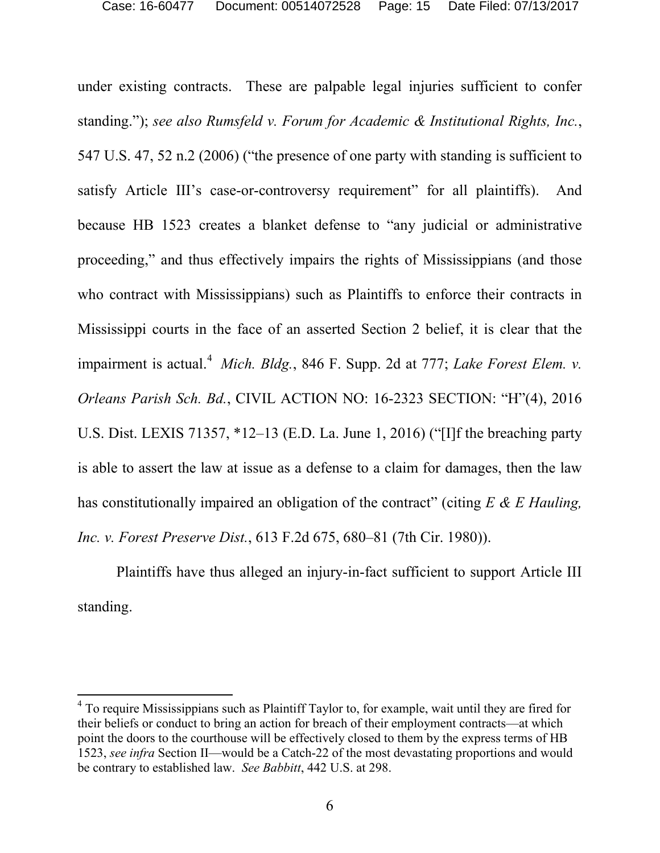under existing contracts. These are palpable legal injuries sufficient to confer standing."); *see also Rumsfeld v. Forum for Academic & Institutional Rights, Inc.*, 547 U.S. 47, 52 n.2 (2006) ("the presence of one party with standing is sufficient to satisfy Article III's case-or-controversy requirement" for all plaintiffs). And because HB 1523 creates a blanket defense to "any judicial or administrative proceeding," and thus effectively impairs the rights of Mississippians (and those who contract with Mississippians) such as Plaintiffs to enforce their contracts in Mississippi courts in the face of an asserted Section 2 belief, it is clear that the impairment is actual.<sup>4</sup> Mich. Bldg., 846 F. Supp. 2d at 777; *Lake Forest Elem. v. Orleans Parish Sch. Bd.*, CIVIL ACTION NO: 16-2323 SECTION: "H"(4), 2016 U.S. Dist. LEXIS 71357, \*12–13 (E.D. La. June 1, 2016) ("[I]f the breaching party is able to assert the law at issue as a defense to a claim for damages, then the law has constitutionally impaired an obligation of the contract" (citing *E & E Hauling, Inc. v. Forest Preserve Dist.*, 613 F.2d 675, 680–81 (7th Cir. 1980)).

Plaintiffs have thus alleged an injury-in-fact sufficient to support Article III standing.

 $4$  To require Mississippians such as Plaintiff Taylor to, for example, wait until they are fired for their beliefs or conduct to bring an action for breach of their employment contracts—at which point the doors to the courthouse will be effectively closed to them by the express terms of HB 1523, *see infra* Section II—would be a Catch-22 of the most devastating proportions and would be contrary to established law. *See Babbitt*, 442 U.S. at 298.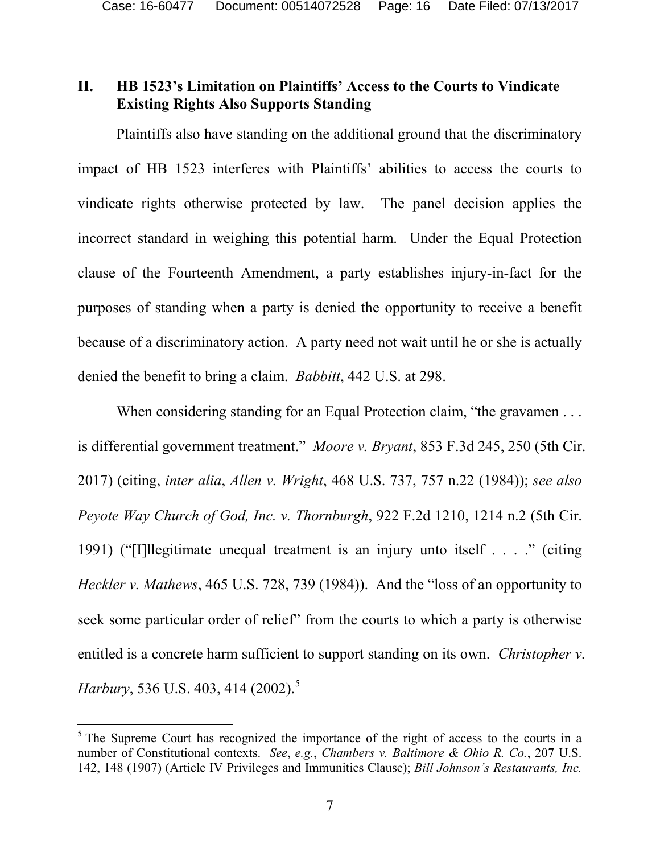### **II. HB 1523's Limitation on Plaintiffs' Access to the Courts to Vindicate Existing Rights Also Supports Standing**

Plaintiffs also have standing on the additional ground that the discriminatory impact of HB 1523 interferes with Plaintiffs' abilities to access the courts to vindicate rights otherwise protected by law. The panel decision applies the incorrect standard in weighing this potential harm. Under the Equal Protection clause of the Fourteenth Amendment, a party establishes injury-in-fact for the purposes of standing when a party is denied the opportunity to receive a benefit because of a discriminatory action. A party need not wait until he or she is actually denied the benefit to bring a claim. *Babbitt*, 442 U.S. at 298.

When considering standing for an Equal Protection claim, "the gravamen . . . is differential government treatment." *Moore v. Bryant*, 853 F.3d 245, 250 (5th Cir. 2017) (citing, *inter alia*, *Allen v. Wright*, 468 U.S. 737, 757 n.22 (1984)); *see also Peyote Way Church of God, Inc. v. Thornburgh*, 922 F.2d 1210, 1214 n.2 (5th Cir. 1991) ("[I]llegitimate unequal treatment is an injury unto itself . . . ." (citing *Heckler v. Mathews*, 465 U.S. 728, 739 (1984)). And the "loss of an opportunity to seek some particular order of relief" from the courts to which a party is otherwise entitled is a concrete harm sufficient to support standing on its own. *Christopher v. Harbury*, 536 U.S. 403, 414 (2002).<sup>5</sup>

 $5$  The Supreme Court has recognized the importance of the right of access to the courts in a number of Constitutional contexts. *See*, *e.g.*, *Chambers v. Baltimore & Ohio R. Co.*, 207 U.S. 142, 148 (1907) (Article IV Privileges and Immunities Clause); *Bill Johnson's Restaurants, Inc.*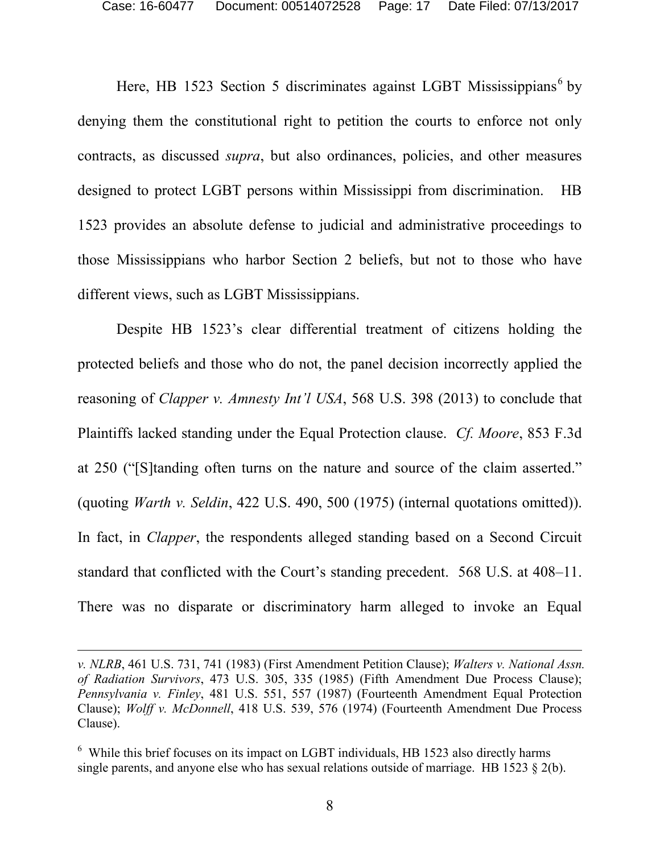Here, HB 1523 Section 5 discriminates against LGBT Mississippians<sup>6</sup> by denying them the constitutional right to petition the courts to enforce not only contracts, as discussed *supra*, but also ordinances, policies, and other measures designed to protect LGBT persons within Mississippi from discrimination. HB 1523 provides an absolute defense to judicial and administrative proceedings to those Mississippians who harbor Section 2 beliefs, but not to those who have different views, such as LGBT Mississippians.

Despite HB 1523's clear differential treatment of citizens holding the protected beliefs and those who do not, the panel decision incorrectly applied the reasoning of *Clapper v. Amnesty Int'l USA*, 568 U.S. 398 (2013) to conclude that Plaintiffs lacked standing under the Equal Protection clause. *Cf. Moore*, 853 F.3d at 250 ("[S]tanding often turns on the nature and source of the claim asserted." (quoting *Warth v. Seldin*, 422 U.S. 490, 500 (1975) (internal quotations omitted)). In fact, in *Clapper*, the respondents alleged standing based on a Second Circuit standard that conflicted with the Court's standing precedent. 568 U.S. at 408–11. There was no disparate or discriminatory harm alleged to invoke an Equal

*v. NLRB*, 461 U.S. 731, 741 (1983) (First Amendment Petition Clause); *Walters v. National Assn. of Radiation Survivors*, 473 U.S. 305, 335 (1985) (Fifth Amendment Due Process Clause); *Pennsylvania v. Finley*, 481 U.S. 551, 557 (1987) (Fourteenth Amendment Equal Protection Clause); *Wolff v. McDonnell*, 418 U.S. 539, 576 (1974) (Fourteenth Amendment Due Process Clause).

<sup>&</sup>lt;sup>6</sup> While this brief focuses on its impact on LGBT individuals, HB 1523 also directly harms single parents, and anyone else who has sexual relations outside of marriage. HB 1523 § 2(b).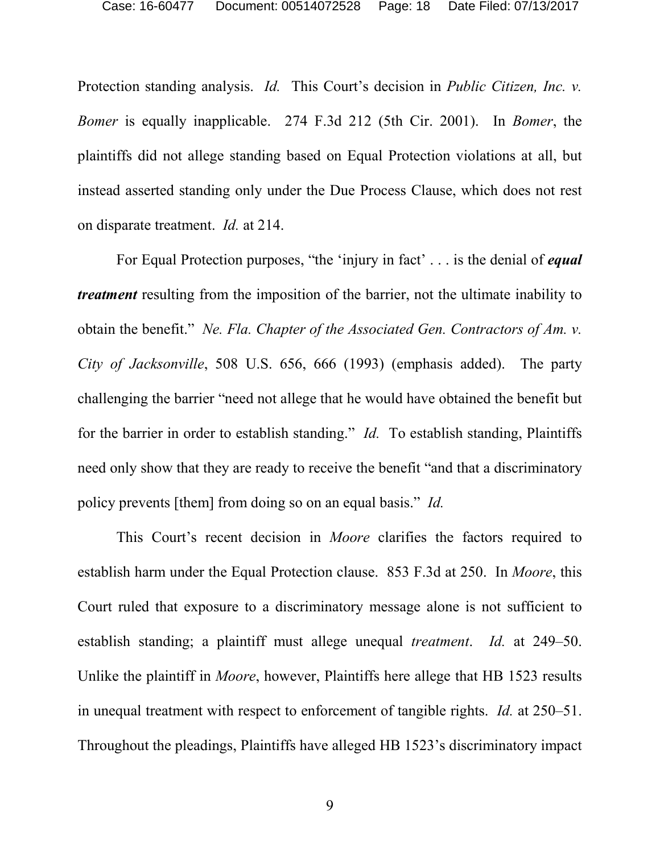Protection standing analysis. *Id.* This Court's decision in *Public Citizen, Inc. v. Bomer* is equally inapplicable. 274 F.3d 212 (5th Cir. 2001). In *Bomer*, the plaintiffs did not allege standing based on Equal Protection violations at all, but instead asserted standing only under the Due Process Clause, which does not rest on disparate treatment. *Id.* at 214.

For Equal Protection purposes, "the 'injury in fact' . . . is the denial of *equal treatment* resulting from the imposition of the barrier, not the ultimate inability to obtain the benefit." *Ne. Fla. Chapter of the Associated Gen. Contractors of Am. v. City of Jacksonville*, 508 U.S. 656, 666 (1993) (emphasis added). The party challenging the barrier "need not allege that he would have obtained the benefit but for the barrier in order to establish standing." *Id.* To establish standing, Plaintiffs need only show that they are ready to receive the benefit "and that a discriminatory policy prevents [them] from doing so on an equal basis." *Id.*

This Court's recent decision in *Moore* clarifies the factors required to establish harm under the Equal Protection clause. 853 F.3d at 250. In *Moore*, this Court ruled that exposure to a discriminatory message alone is not sufficient to establish standing; a plaintiff must allege unequal *treatment*. *Id.* at 249–50. Unlike the plaintiff in *Moore*, however, Plaintiffs here allege that HB 1523 results in unequal treatment with respect to enforcement of tangible rights. *Id.* at 250–51. Throughout the pleadings, Plaintiffs have alleged HB 1523's discriminatory impact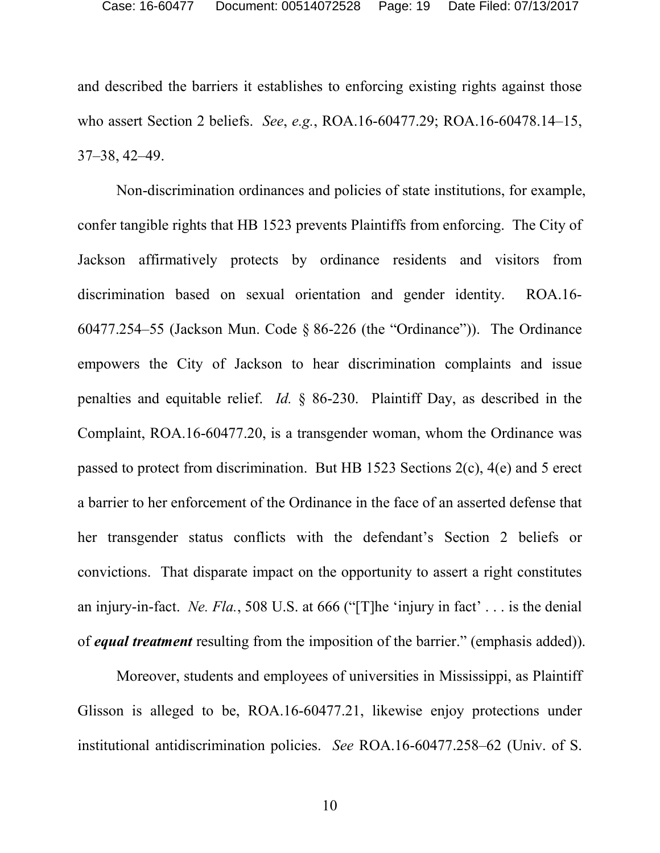and described the barriers it establishes to enforcing existing rights against those who assert Section 2 beliefs. *See*, *e.g.*, ROA.16-60477.29; ROA.16-60478.14–15, 37–38, 42–49.

Non-discrimination ordinances and policies of state institutions, for example, confer tangible rights that HB 1523 prevents Plaintiffs from enforcing. The City of Jackson affirmatively protects by ordinance residents and visitors from discrimination based on sexual orientation and gender identity. ROA.16- 60477.254–55 (Jackson Mun. Code § 86-226 (the "Ordinance")). The Ordinance empowers the City of Jackson to hear discrimination complaints and issue penalties and equitable relief. *Id.* § 86-230. Plaintiff Day, as described in the Complaint, ROA.16-60477.20, is a transgender woman, whom the Ordinance was passed to protect from discrimination. But HB 1523 Sections 2(c), 4(e) and 5 erect a barrier to her enforcement of the Ordinance in the face of an asserted defense that her transgender status conflicts with the defendant's Section 2 beliefs or convictions. That disparate impact on the opportunity to assert a right constitutes an injury-in-fact. *Ne. Fla.*, 508 U.S. at 666 ("[T]he 'injury in fact' . . . is the denial of *equal treatment* resulting from the imposition of the barrier." (emphasis added)).

Moreover, students and employees of universities in Mississippi, as Plaintiff Glisson is alleged to be, ROA.16-60477.21, likewise enjoy protections under institutional antidiscrimination policies. *See* ROA.16-60477.258–62 (Univ. of S.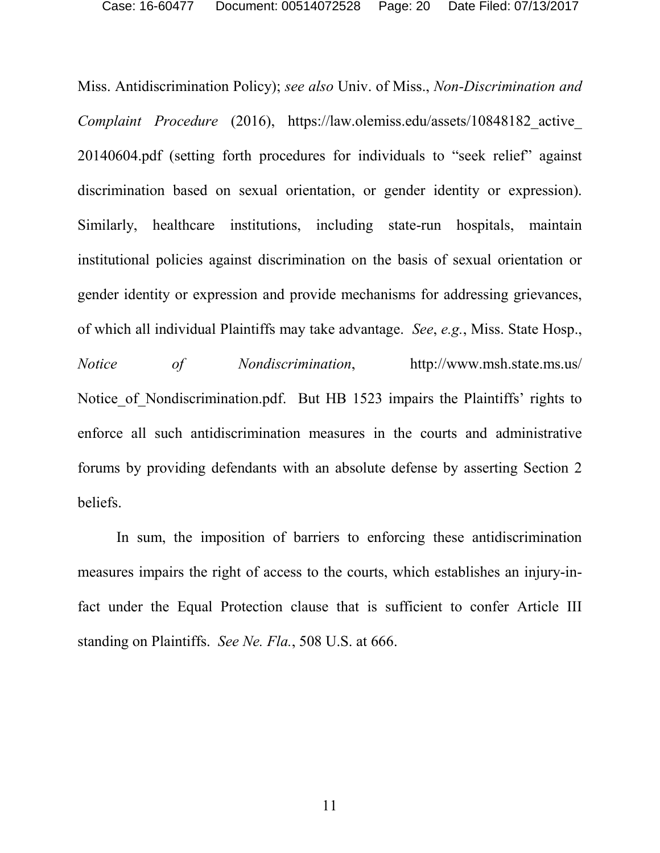Miss. Antidiscrimination Policy); *see also* Univ. of Miss., *Non-Discrimination and Complaint Procedure* (2016), https://law.olemiss.edu/assets/10848182\_active\_ 20140604.pdf (setting forth procedures for individuals to "seek relief" against discrimination based on sexual orientation, or gender identity or expression). Similarly, healthcare institutions, including state-run hospitals, maintain institutional policies against discrimination on the basis of sexual orientation or gender identity or expression and provide mechanisms for addressing grievances, of which all individual Plaintiffs may take advantage. *See*, *e.g.*, Miss. State Hosp., *Notice of Nondiscrimination*, http://www.msh.state.ms.us/ Notice of Nondiscrimination.pdf. But HB 1523 impairs the Plaintiffs' rights to enforce all such antidiscrimination measures in the courts and administrative forums by providing defendants with an absolute defense by asserting Section 2 beliefs.

In sum, the imposition of barriers to enforcing these antidiscrimination measures impairs the right of access to the courts, which establishes an injury-infact under the Equal Protection clause that is sufficient to confer Article III standing on Plaintiffs. *See Ne. Fla.*, 508 U.S. at 666.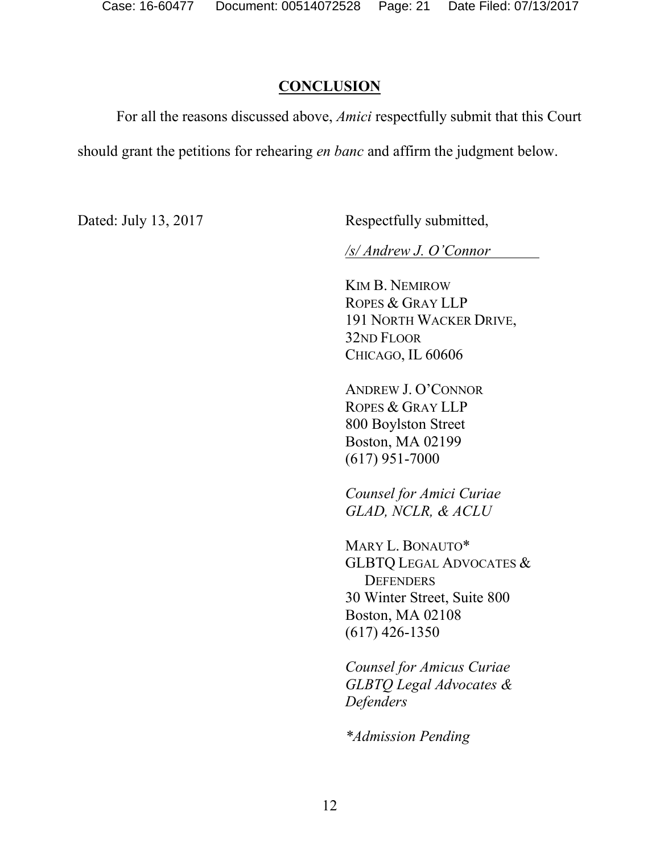### **CONCLUSION**

For all the reasons discussed above, *Amici* respectfully submit that this Court should grant the petitions for rehearing *en banc* and affirm the judgment below.

Dated: July 13, 2017 Respectfully submitted,

*/s/ Andrew J. O'Connor* 

KIM B. NEMIROW ROPES & GRAY LLP 191 NORTH WACKER DRIVE, 32ND FLOOR CHICAGO, IL 60606

ANDREW J. O'CONNOR ROPES & GRAY LLP 800 Boylston Street Boston, MA 02199 (617) 951-7000

*Counsel for Amici Curiae GLAD, NCLR, & ACLU*

MARY L. BONAUTO\* GLBTQ LEGAL ADVOCATES & **DEFENDERS** 30 Winter Street, Suite 800 Boston, MA 02108 (617) 426-1350

*Counsel for Amicus Curiae GLBTQ Legal Advocates & Defenders*

*\*Admission Pending*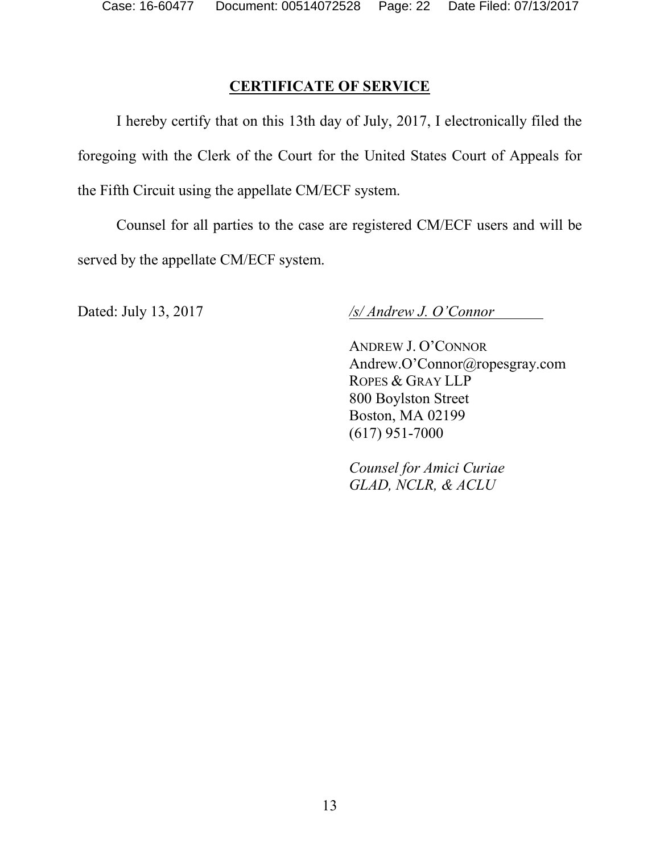## **CERTIFICATE OF SERVICE**

I hereby certify that on this 13th day of July, 2017, I electronically filed the foregoing with the Clerk of the Court for the United States Court of Appeals for the Fifth Circuit using the appellate CM/ECF system.

Counsel for all parties to the case are registered CM/ECF users and will be served by the appellate CM/ECF system.

Dated: July 13, 2017 */s/ Andrew J. O'Connor* 

ANDREW J. O'CONNOR Andrew.O'Connor@ropesgray.com ROPES & GRAY LLP 800 Boylston Street Boston, MA 02199 (617) 951-7000

*Counsel for Amici Curiae GLAD, NCLR, & ACLU*